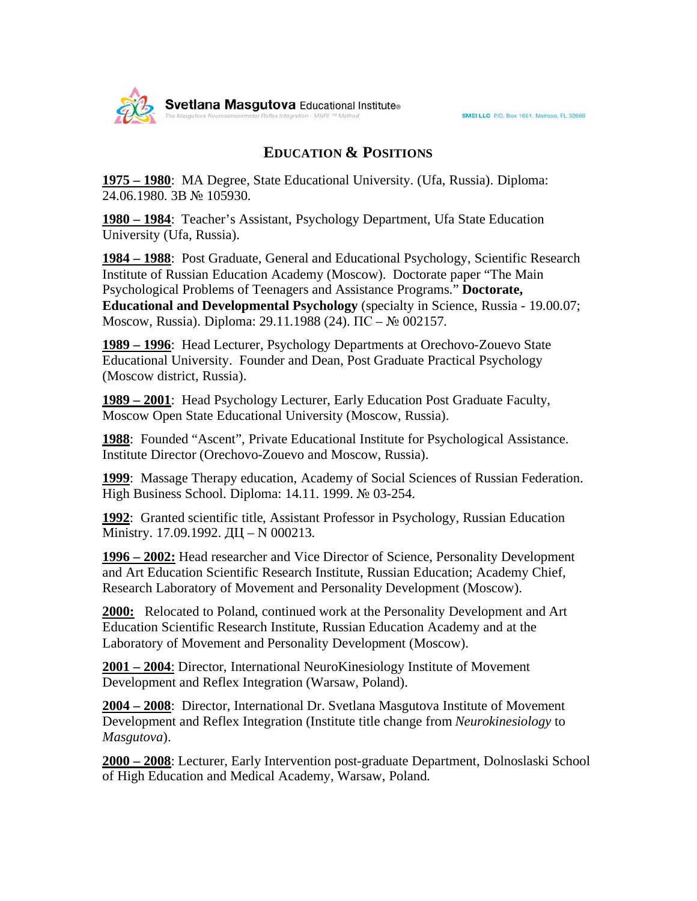## **EDUCATION & POSITIONS**

**1975 – 1980**: MA Degree, State Educational University. (Ufa, Russia). Diploma: 24.06.1980. 3B № 105930.

**1980 – 1984**: Teacher's Assistant, Psychology Department, Ufa State Education University (Ufa, Russia).

**1984 – 1988**: Post Graduate, General and Educational Psychology, Scientific Research Institute of Russian Education Academy (Moscow). Doctorate paper "The Main Psychological Problems of Teenagers and Assistance Programs." **Doctorate, Educational and Developmental Psychology** (specialty in Science, Russia - 19.00.07; Moscow, Russia). Diploma: 29.11.1988 (24).  $\Pi C - N_2$  002157.

**1989 – 1996**: Head Lecturer, Psychology Departments at Orechovo-Zouevo State Educational University. Founder and Dean, Post Graduate Practical Psychology (Moscow district, Russia).

**1989 – 2001**: Head Psychology Lecturer, Early Education Post Graduate Faculty, Moscow Open State Educational University (Moscow, Russia).

**1988**: Founded "Ascent", Private Educational Institute for Psychological Assistance. Institute Director (Orechovo-Zouevo and Moscow, Russia).

**1999**: Massage Therapy education, Academy of Social Sciences of Russian Federation. High Business School. Diploma: 14.11. 1999. № 03-254.

**1992**: Granted scientific title, Assistant Professor in Psychology, Russian Education Ministry. 17.09.1992. ДЦ - N 000213.

**1996 – 2002:** Head researcher and Vice Director of Science, Personality Development and Art Education Scientific Research Institute, Russian Education; Academy Chief, Research Laboratory of Movement and Personality Development (Moscow).

**2000:** Relocated to Poland, continued work at the Personality Development and Art Education Scientific Research Institute, Russian Education Academy and at the Laboratory of Movement and Personality Development (Moscow).

**2001 – 2004**: Director, International NeuroKinesiology Institute of Movement Development and Reflex Integration (Warsaw, Poland).

**2004 – 2008**: Director, International Dr. Svetlana Masgutova Institute of Movement Development and Reflex Integration (Institute title change from *Neurokinesiology* to *Masgutova*).

**2000 – 2008**: Lecturer, Early Intervention post-graduate Department, Dolnoslaski School of High Education and Medical Academy, Warsaw, Poland.